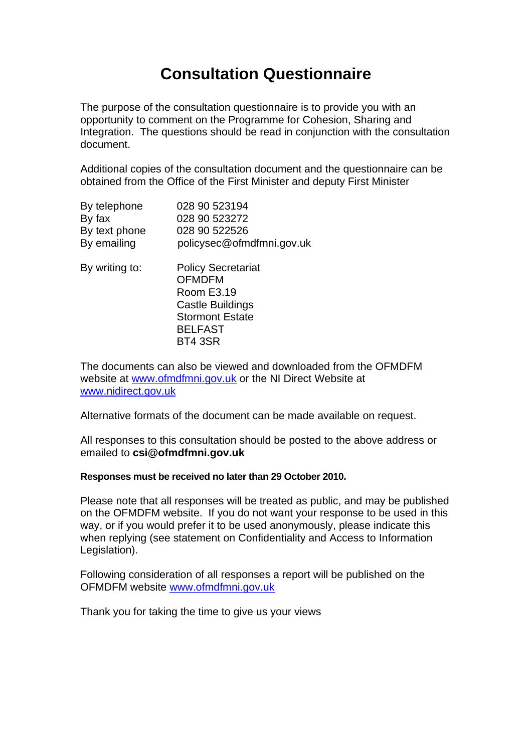# **Consultation Questionnaire**

The purpose of the consultation questionnaire is to provide you with an opportunity to comment on the Programme for Cohesion, Sharing and Integration. The questions should be read in conjunction with the consultation document.

Additional copies of the consultation document and the questionnaire can be obtained from the Office of the First Minister and deputy First Minister

| By telephone  | 028 90 523194             |
|---------------|---------------------------|
| By fax        | 028 90 523272             |
| By text phone | 028 90 522526             |
| By emailing   | policysec@ofmdfmni.gov.uk |

| By writing to: | <b>Policy Secretariat</b> |
|----------------|---------------------------|
|                | <b>OFMDFM</b>             |
|                | Room E3.19                |
|                | <b>Castle Buildings</b>   |
|                | <b>Stormont Estate</b>    |
|                | <b>BELFAST</b>            |
|                | <b>BT4 3SR</b>            |
|                |                           |

The documents can also be viewed and downloaded from the OFMDFM website at [www.ofmdfmni.gov.uk](http://www.ofmdfmni.gov.uk/) or the NI Direct Website at [www.nidirect.gov.uk](http://www.nidirect.gov.uk/)

Alternative formats of the document can be made available on request.

All responses to this consultation should be posted to the above address or emailed to **csi@ofmdfmni.gov.uk**

#### **Responses must be received no later than 29 October 2010.**

Please note that all responses will be treated as public, and may be published on the OFMDFM website. If you do not want your response to be used in this way, or if you would prefer it to be used anonymously, please indicate this when replying (see statement on Confidentiality and Access to Information Legislation).

Following consideration of all responses a report will be published on the OFMDFM website [www.ofmdfmni.gov.uk](http://www.ofmdfmni.gov.uk/)

Thank you for taking the time to give us your views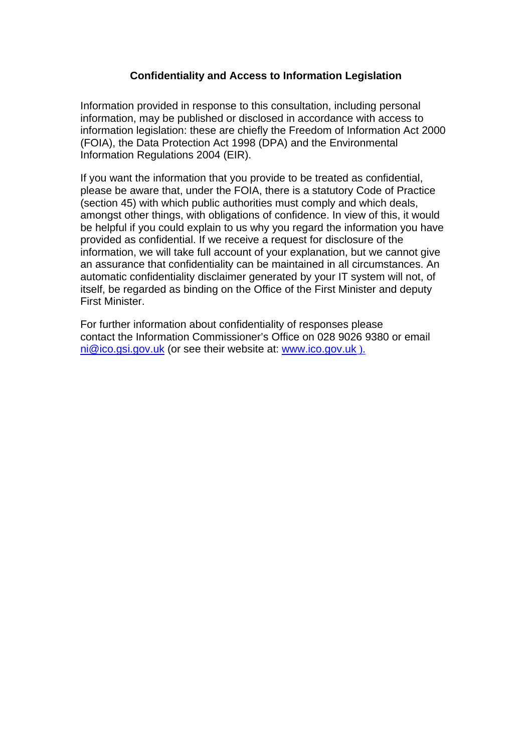#### **Confidentiality and Access to Information Legislation**

Information provided in response to this consultation, including personal information, may be published or disclosed in accordance with access to information legislation: these are chiefly the Freedom of Information Act 2000 (FOIA), the Data Protection Act 1998 (DPA) and the Environmental Information Regulations 2004 (EIR).

If you want the information that you provide to be treated as confidential, please be aware that, under the FOIA, there is a statutory Code of Practice (section 45) with which public authorities must comply and which deals, amongst other things, with obligations of confidence. In view of this, it would be helpful if you could explain to us why you regard the information you have provided as confidential. If we receive a request for disclosure of the information, we will take full account of your explanation, but we cannot give an assurance that confidentiality can be maintained in all circumstances. An automatic confidentiality disclaimer generated by your IT system will not, of itself, be regarded as binding on the Office of the First Minister and deputy First Minister.

For further information about confidentiality of responses please contact the Information Commissioner's Office on 028 9026 9380 or email ni@ico.gsi.gov.uk (or see their website at: [www.ico.gov.uk](http://www.ico.gov.uk/) ).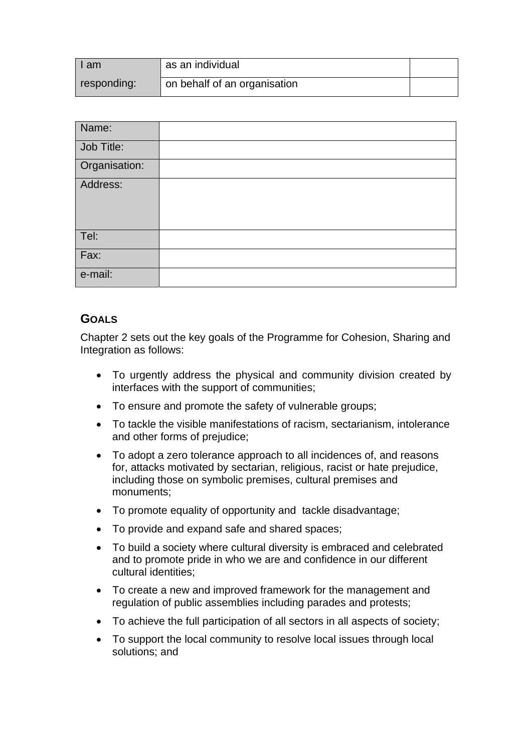| I am        | as an individual             |  |
|-------------|------------------------------|--|
| responding: | on behalf of an organisation |  |

| Name:         |  |
|---------------|--|
| Job Title:    |  |
| Organisation: |  |
| Address:      |  |
| Tel:          |  |
| Fax:          |  |
| e-mail:       |  |

## **GOALS**

Chapter 2 sets out the key goals of the Programme for Cohesion, Sharing and Integration as follows:

- To urgently address the physical and community division created by interfaces with the support of communities;
- To ensure and promote the safety of vulnerable groups;
- To tackle the visible manifestations of racism, sectarianism, intolerance and other forms of prejudice;
- To adopt a zero tolerance approach to all incidences of, and reasons for, attacks motivated by sectarian, religious, racist or hate prejudice, including those on symbolic premises, cultural premises and monuments;
- To promote equality of opportunity and tackle disadvantage;
- To provide and expand safe and shared spaces;
- To build a society where cultural diversity is embraced and celebrated and to promote pride in who we are and confidence in our different cultural identities;
- To create a new and improved framework for the management and regulation of public assemblies including parades and protests;
- To achieve the full participation of all sectors in all aspects of society;
- To support the local community to resolve local issues through local solutions; and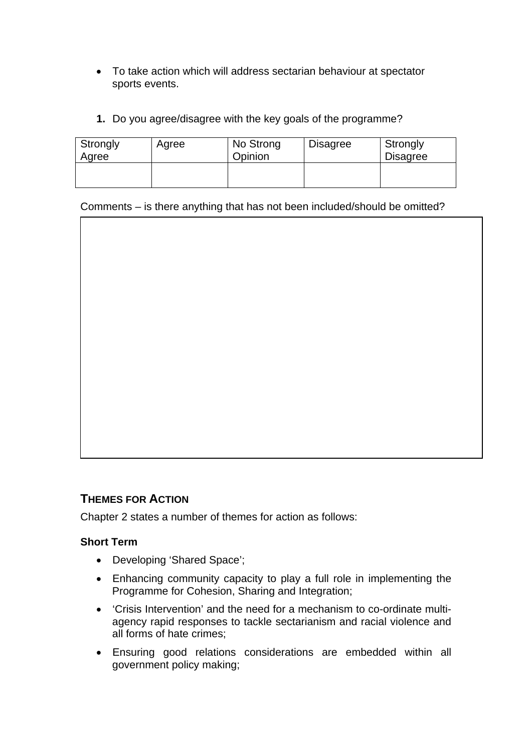- To take action which will address sectarian behaviour at spectator sports events.
- **1.** Do you agree/disagree with the key goals of the programme?

| Strongly<br>Agree | Agree | No Strong<br>Opinion | <b>Disagree</b> | Strongly<br><b>Disagree</b> |
|-------------------|-------|----------------------|-----------------|-----------------------------|
|                   |       |                      |                 |                             |

Comments – is there anything that has not been included/should be omitted?

#### **THEMES FOR ACTION**

Chapter 2 states a number of themes for action as follows:

#### **Short Term**

- Developing 'Shared Space';
- Enhancing community capacity to play a full role in implementing the Programme for Cohesion, Sharing and Integration;
- 'Crisis Intervention' and the need for a mechanism to co-ordinate multiagency rapid responses to tackle sectarianism and racial violence and all forms of hate crimes;
- Ensuring good relations considerations are embedded within all government policy making;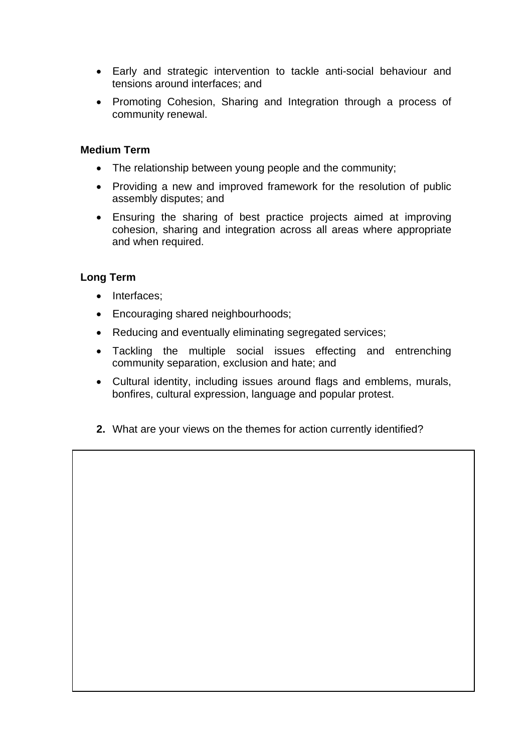- Early and strategic intervention to tackle anti-social behaviour and tensions around interfaces; and
- Promoting Cohesion, Sharing and Integration through a process of community renewal.

#### **Medium Term**

- The relationship between young people and the community;
- Providing a new and improved framework for the resolution of public assembly disputes; and
- Ensuring the sharing of best practice projects aimed at improving cohesion, sharing and integration across all areas where appropriate and when required.

#### **Long Term**

- Interfaces;
- Encouraging shared neighbourhoods;
- Reducing and eventually eliminating segregated services;
- Tackling the multiple social issues effecting and entrenching community separation, exclusion and hate; and
- Cultural identity, including issues around flags and emblems, murals, bonfires, cultural expression, language and popular protest.
- **2.** What are your views on the themes for action currently identified?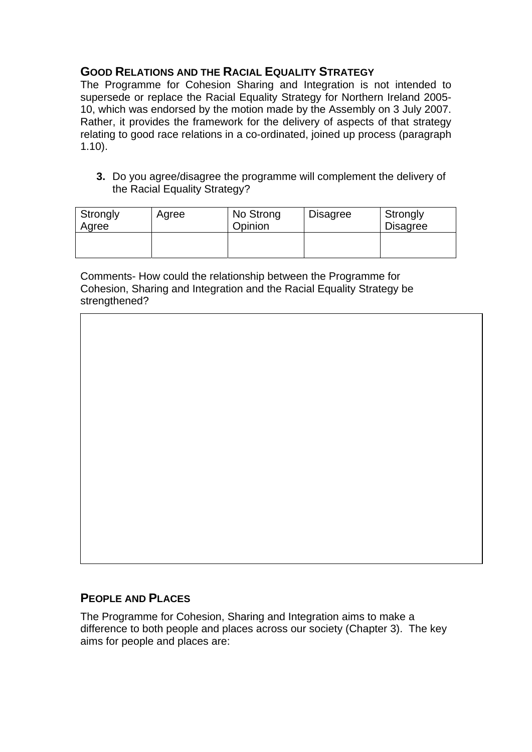# **GOOD RELATIONS AND THE RACIAL EQUALITY STRATEGY**

The Programme for Cohesion Sharing and Integration is not intended to supersede or replace the Racial Equality Strategy for Northern Ireland 2005- 10, which was endorsed by the motion made by the Assembly on 3 July 2007. Rather, it provides the framework for the delivery of aspects of that strategy relating to good race relations in a co-ordinated, joined up process (paragraph 1.10).

**3.** Do you agree/disagree the programme will complement the delivery of the Racial Equality Strategy?

| Strongly<br>Agree | Agree | No Strong<br>Opinion | <b>Disagree</b> | Strongly<br><b>Disagree</b> |
|-------------------|-------|----------------------|-----------------|-----------------------------|
|                   |       |                      |                 |                             |

Comments- How could the relationship between the Programme for Cohesion, Sharing and Integration and the Racial Equality Strategy be strengthened?

## **PEOPLE AND PLACES**

The Programme for Cohesion, Sharing and Integration aims to make a difference to both people and places across our society (Chapter 3). The key aims for people and places are: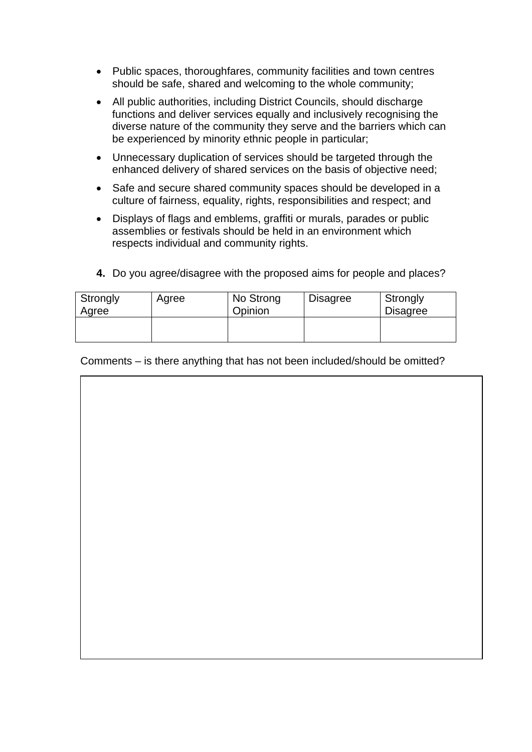- Public spaces, thoroughfares, community facilities and town centres should be safe, shared and welcoming to the whole community;
- All public authorities, including District Councils, should discharge functions and deliver services equally and inclusively recognising the diverse nature of the community they serve and the barriers which can be experienced by minority ethnic people in particular;
- Unnecessary duplication of services should be targeted through the enhanced delivery of shared services on the basis of objective need;
- Safe and secure shared community spaces should be developed in a culture of fairness, equality, rights, responsibilities and respect; and
- Displays of flags and emblems, graffiti or murals, parades or public assemblies or festivals should be held in an environment which respects individual and community rights.

| Strongly<br>Agree | Agree | No Strong<br>Opinion | <b>Disagree</b> | Strongly<br><b>Disagree</b> |
|-------------------|-------|----------------------|-----------------|-----------------------------|
|                   |       |                      |                 |                             |

**4.** Do you agree/disagree with the proposed aims for people and places?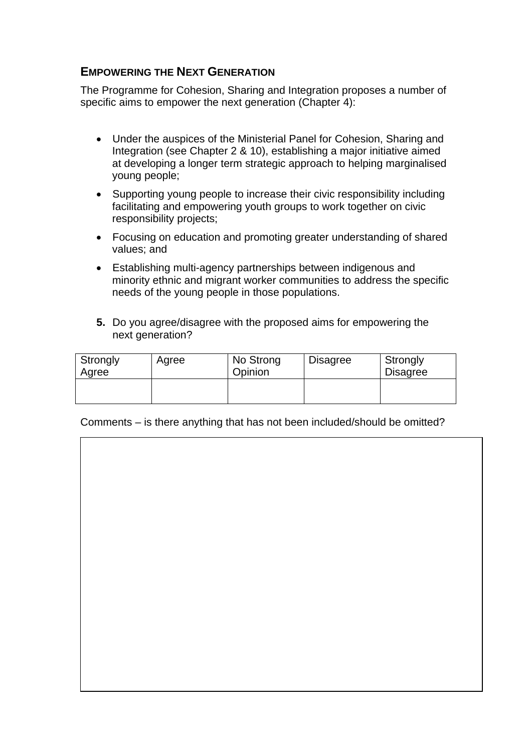#### **EMPOWERING THE NEXT GENERATION**

The Programme for Cohesion, Sharing and Integration proposes a number of specific aims to empower the next generation (Chapter 4):

- Under the auspices of the Ministerial Panel for Cohesion, Sharing and Integration (see Chapter 2 & 10), establishing a major initiative aimed at developing a longer term strategic approach to helping marginalised young people;
- Supporting young people to increase their civic responsibility including facilitating and empowering youth groups to work together on civic responsibility projects;
- Focusing on education and promoting greater understanding of shared values; and
- Establishing multi-agency partnerships between indigenous and minority ethnic and migrant worker communities to address the specific needs of the young people in those populations.
- **5.** Do you agree/disagree with the proposed aims for empowering the next generation?

| Strongly<br>Agree | Agree | No Strong<br>Opinion | <b>Disagree</b> | Strongly<br><b>Disagree</b> |
|-------------------|-------|----------------------|-----------------|-----------------------------|
|                   |       |                      |                 |                             |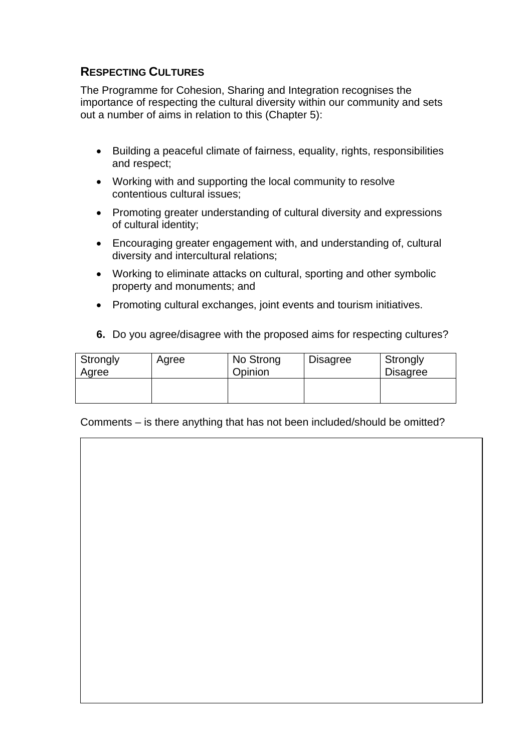# **RESPECTING CULTURES**

The Programme for Cohesion, Sharing and Integration recognises the importance of respecting the cultural diversity within our community and sets out a number of aims in relation to this (Chapter 5):

- Building a peaceful climate of fairness, equality, rights, responsibilities and respect;
- Working with and supporting the local community to resolve contentious cultural issues;
- Promoting greater understanding of cultural diversity and expressions of cultural identity;
- Encouraging greater engagement with, and understanding of, cultural diversity and intercultural relations;
- Working to eliminate attacks on cultural, sporting and other symbolic property and monuments; and
- Promoting cultural exchanges, joint events and tourism initiatives.
- **6.** Do you agree/disagree with the proposed aims for respecting cultures?

| Strongly<br>Agree | Agree | No Strong<br>Opinion | <b>Disagree</b> | Strongly<br><b>Disagree</b> |
|-------------------|-------|----------------------|-----------------|-----------------------------|
|                   |       |                      |                 |                             |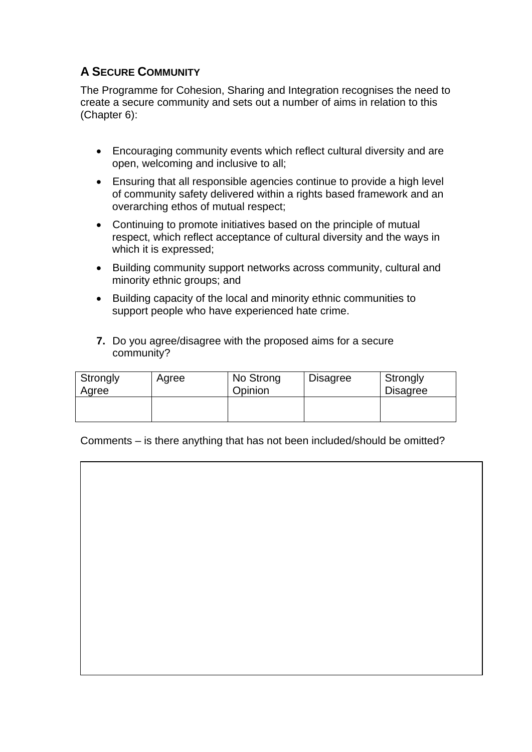# **A SECURE COMMUNITY**

The Programme for Cohesion, Sharing and Integration recognises the need to create a secure community and sets out a number of aims in relation to this (Chapter 6):

- Encouraging community events which reflect cultural diversity and are open, welcoming and inclusive to all;
- Ensuring that all responsible agencies continue to provide a high level of community safety delivered within a rights based framework and an overarching ethos of mutual respect;
- Continuing to promote initiatives based on the principle of mutual respect, which reflect acceptance of cultural diversity and the ways in which it is expressed;
- Building community support networks across community, cultural and minority ethnic groups; and
- Building capacity of the local and minority ethnic communities to support people who have experienced hate crime.
- **7.** Do you agree/disagree with the proposed aims for a secure community?

| Strongly<br>Agree | Agree | No Strong<br>Opinion | <b>Disagree</b> | Strongly<br><b>Disagree</b> |
|-------------------|-------|----------------------|-----------------|-----------------------------|
|                   |       |                      |                 |                             |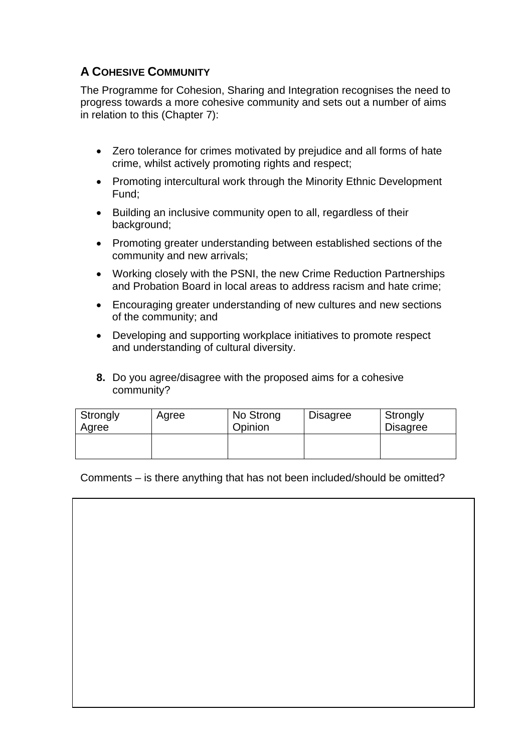# **A COHESIVE COMMUNITY**

The Programme for Cohesion, Sharing and Integration recognises the need to progress towards a more cohesive community and sets out a number of aims in relation to this (Chapter 7):

- Zero tolerance for crimes motivated by prejudice and all forms of hate crime, whilst actively promoting rights and respect;
- Promoting intercultural work through the Minority Ethnic Development Fund;
- Building an inclusive community open to all, regardless of their background;
- Promoting greater understanding between established sections of the community and new arrivals;
- Working closely with the PSNI, the new Crime Reduction Partnerships and Probation Board in local areas to address racism and hate crime;
- Encouraging greater understanding of new cultures and new sections of the community; and
- Developing and supporting workplace initiatives to promote respect and understanding of cultural diversity.
- **8.** Do you agree/disagree with the proposed aims for a cohesive community?

| Strongly<br>Agree | Agree | No Strong<br>Opinion | <b>Disagree</b> | Strongly<br><b>Disagree</b> |
|-------------------|-------|----------------------|-----------------|-----------------------------|
|                   |       |                      |                 |                             |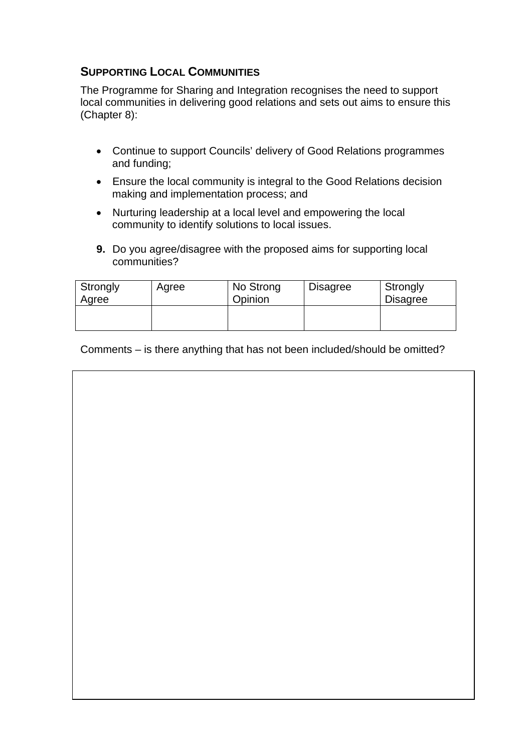# **SUPPORTING LOCAL COMMUNITIES**

The Programme for Sharing and Integration recognises the need to support local communities in delivering good relations and sets out aims to ensure this (Chapter 8):

- Continue to support Councils' delivery of Good Relations programmes and funding;
- Ensure the local community is integral to the Good Relations decision making and implementation process; and
- Nurturing leadership at a local level and empowering the local community to identify solutions to local issues.
- **9.** Do you agree/disagree with the proposed aims for supporting local communities?

| Strongly<br>Agree | Agree | No Strong<br>Opinion | <b>Disagree</b> | Strongly<br><b>Disagree</b> |
|-------------------|-------|----------------------|-----------------|-----------------------------|
|                   |       |                      |                 |                             |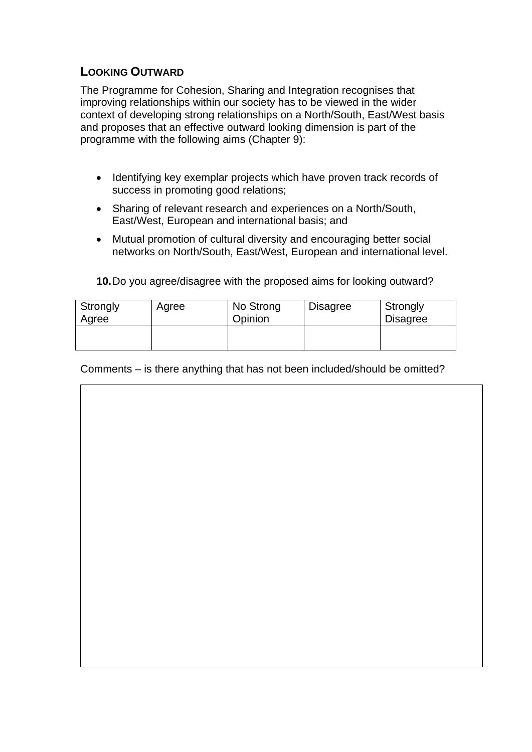## **LOOKING OUTWARD**

The Programme for Cohesion, Sharing and Integration recognises that improving relationships within our society has to be viewed in the wider context of developing strong relationships on a North/South, East/West basis and proposes that an effective outward looking dimension is part of the programme with the following aims (Chapter 9):

- Identifying key exemplar projects which have proven track records of success in promoting good relations;
- Sharing of relevant research and experiences on a North/South, East/West, European and international basis; and
- Mutual promotion of cultural diversity and encouraging better social networks on North/South, East/West, European and international level.

**10.** Do you agree/disagree with the proposed aims for looking outward?

| Strongly<br>Agree | Agree | No Strong<br>Opinion | <b>Disagree</b> | Strongly<br><b>Disagree</b> |
|-------------------|-------|----------------------|-----------------|-----------------------------|
|                   |       |                      |                 |                             |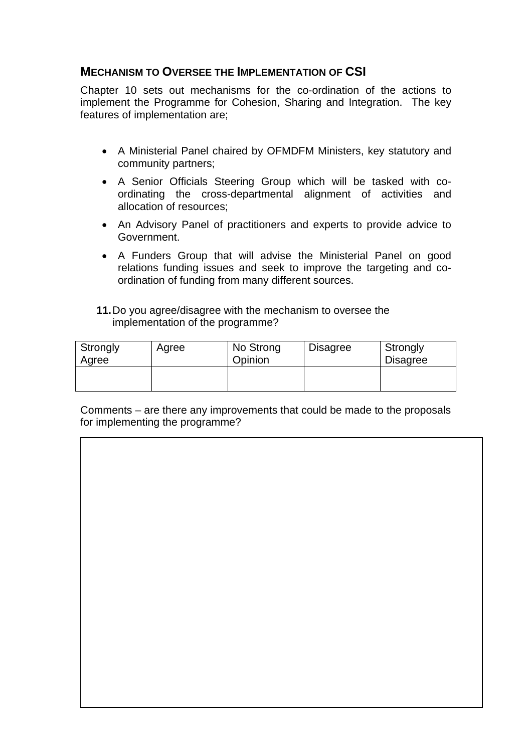#### **MECHANISM TO OVERSEE THE IMPLEMENTATION OF CSI**

Chapter 10 sets out mechanisms for the co-ordination of the actions to implement the Programme for Cohesion, Sharing and Integration. The key features of implementation are;

- A Ministerial Panel chaired by OFMDFM Ministers, key statutory and community partners;
- A Senior Officials Steering Group which will be tasked with coordinating the cross-departmental alignment of activities and allocation of resources;
- An Advisory Panel of practitioners and experts to provide advice to Government.
- A Funders Group that will advise the Ministerial Panel on good relations funding issues and seek to improve the targeting and coordination of funding from many different sources.
- **11.** Do you agree/disagree with the mechanism to oversee the implementation of the programme?

| Strongly<br>Agree | Agree | No Strong<br>Opinion | <b>Disagree</b> | Strongly<br><b>Disagree</b> |
|-------------------|-------|----------------------|-----------------|-----------------------------|
|                   |       |                      |                 |                             |

Comments – are there any improvements that could be made to the proposals for implementing the programme?

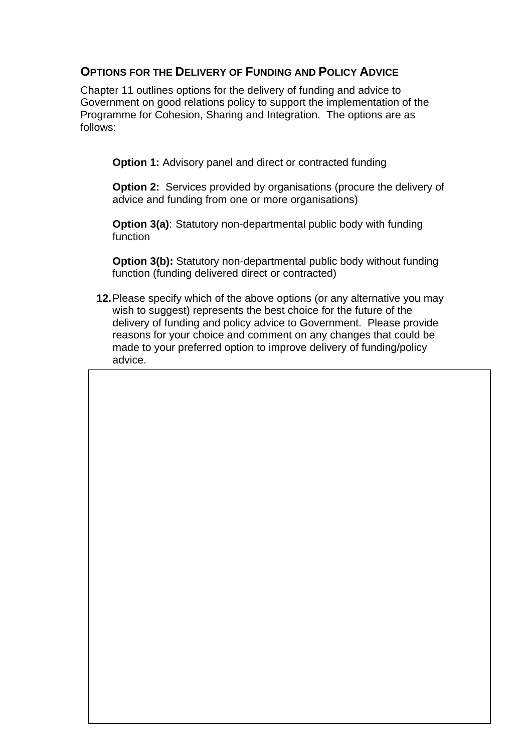#### **OPTIONS FOR THE DELIVERY OF FUNDING AND POLICY ADVICE**

Chapter 11 outlines options for the delivery of funding and advice to Government on good relations policy to support the implementation of the Programme for Cohesion, Sharing and Integration. The options are as follows:

**Option 1:** Advisory panel and direct or contracted funding

**Option 2:** Services provided by organisations (procure the delivery of advice and funding from one or more organisations)

**Option 3(a)**: Statutory non-departmental public body with funding function

**Option 3(b):** Statutory non-departmental public body without funding function (funding delivered direct or contracted)

**12.** Please specify which of the above options (or any alternative you may wish to suggest) represents the best choice for the future of the delivery of funding and policy advice to Government. Please provide reasons for your choice and comment on any changes that could be made to your preferred option to improve delivery of funding/policy advice.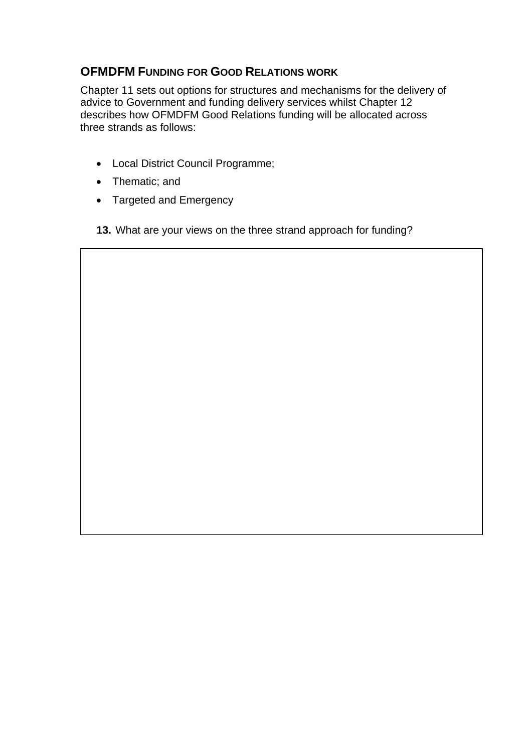# **OFMDFM FUNDING FOR GOOD RELATIONS WORK**

Chapter 11 sets out options for structures and mechanisms for the delivery of advice to Government and funding delivery services whilst Chapter 12 describes how OFMDFM Good Relations funding will be allocated across three strands as follows:

- Local District Council Programme;
- Thematic; and
- Targeted and Emergency
- **13.** What are your views on the three strand approach for funding?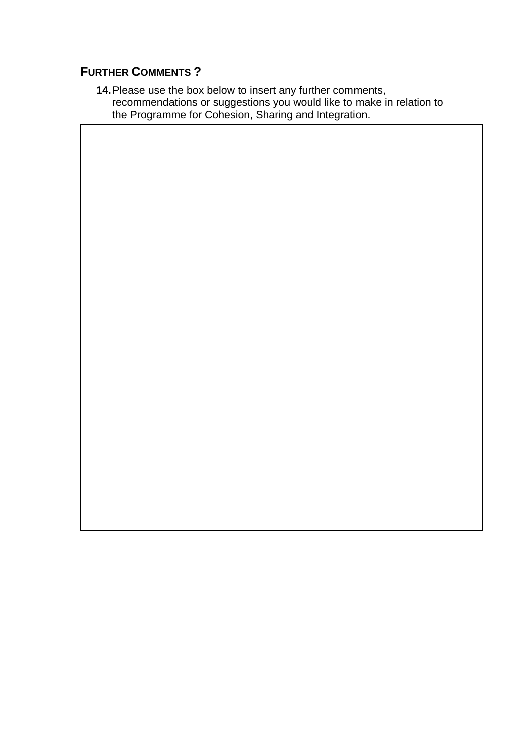# **FURTHER COMMENTS ?**

**14.** Please use the box below to insert any further comments, recommendations or suggestions you would like to make in relation to the Programme for Cohesion, Sharing and Integration.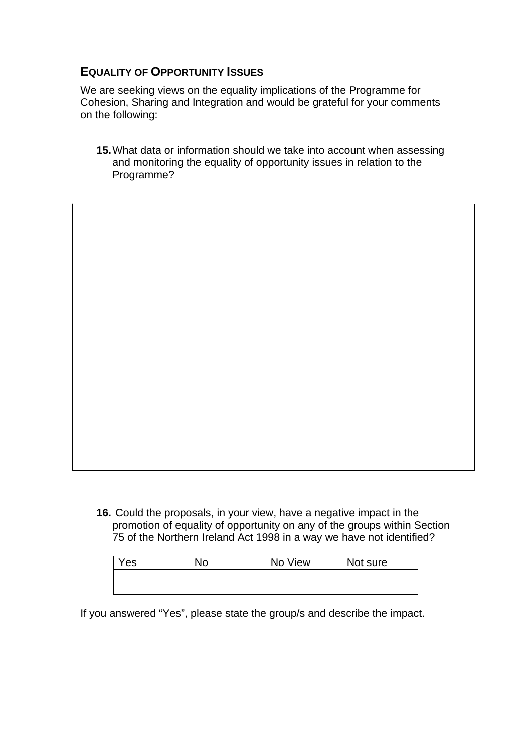#### **EQUALITY OF OPPORTUNITY ISSUES**

We are seeking views on the equality implications of the Programme for Cohesion, Sharing and Integration and would be grateful for your comments on the following:

**15.** What data or information should we take into account when assessing and monitoring the equality of opportunity issues in relation to the Programme?

**16.** Could the proposals, in your view, have a negative impact in the promotion of equality of opportunity on any of the groups within Section 75 of the Northern Ireland Act 1998 in a way we have not identified?

| Yes | <b>No</b> | No View | Not sure |
|-----|-----------|---------|----------|
|     |           |         |          |
|     |           |         |          |

If you answered "Yes", please state the group/s and describe the impact.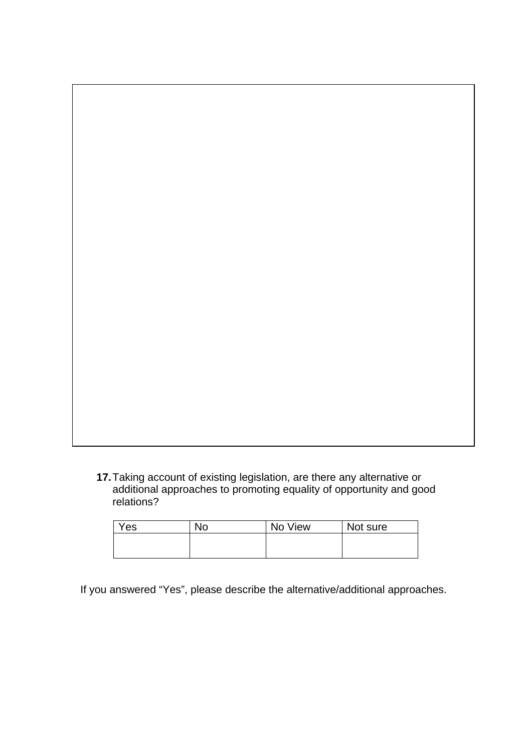**17.** Taking account of existing legislation, are there any alternative or additional approaches to promoting equality of opportunity and good relations?

| Yes | No | No View | Not sure |
|-----|----|---------|----------|
|     |    |         |          |
|     |    |         |          |

If you answered "Yes", please describe the alternative/additional approaches.